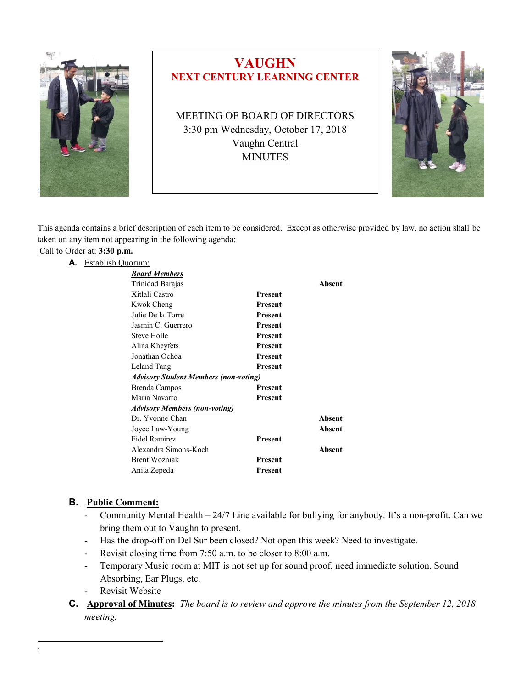



This agenda contains a brief description of each item to be considered. Except as otherwise provided by law, no action shall be taken on any item not appearing in the following agenda:

# Call to Order at: **3:30 p.m.**

#### **A.** Establish Quorum:

| Absent        |
|---------------|
|               |
|               |
|               |
|               |
|               |
|               |
|               |
|               |
|               |
|               |
|               |
|               |
|               |
| <b>Absent</b> |
| <b>Absent</b> |
|               |
| Absent        |
|               |
|               |
|               |

#### **B. Public Comment:**

- Community Mental Health  $24/7$  Line available for bullying for anybody. It's a non-profit. Can we bring them out to Vaughn to present.
- Has the drop-off on Del Sur been closed? Not open this week? Need to investigate.
- Revisit closing time from 7:50 a.m. to be closer to 8:00 a.m.
- Temporary Music room at MIT is not set up for sound proof, need immediate solution, Sound Absorbing, Ear Plugs, etc.
- Revisit Website
- **C. Approval of Minutes:** *The board is to review and approve the minutes from the September 12, 2018 meeting.*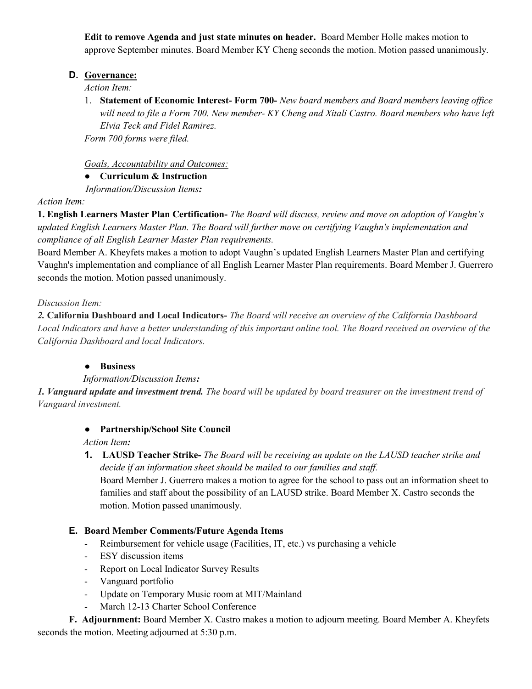**Edit to remove Agenda and just state minutes on header.** Board Member Holle makes motion to approve September minutes. Board Member KY Cheng seconds the motion. Motion passed unanimously.

### **D. Governance:**

*Action Item:*

1. **Statement of Economic Interest- Form 700-** *New board members and Board members leaving office will need to file a Form 700. New member- KY Cheng and Xitali Castro. Board members who have left Elvia Teck and Fidel Ramirez.*

*Form 700 forms were filed.*

*Goals, Accountability and Outcomes:*

#### ● **Curriculum & Instruction**

*Information/Discussion Items:*

*Action Item:*

**1. English Learners Master Plan Certification-** *The Board will discuss, review and move on adoption of Vaughn's updated English Learners Master Plan. The Board will further move on certifying Vaughn's implementation and compliance of all English Learner Master Plan requirements.*

Board Member A. Kheyfets makes a motion to adopt Vaughn's updated English Learners Master Plan and certifying Vaughn's implementation and compliance of all English Learner Master Plan requirements. Board Member J. Guerrero seconds the motion. Motion passed unanimously.

### *Discussion Item:*

*2.* **California Dashboard and Local Indicators-** *The Board will receive an overview of the California Dashboard Local Indicators and have a better understanding of this important online tool. The Board received an overview of the California Dashboard and local Indicators.*

# ● **Business**

*Information/Discussion Items:*

*1. Vanguard update and investment trend. The board will be updated by board treasurer on the investment trend of Vanguard investment.*

# ● **Partnership/School Site Council**

# *Action Item:*

**1. LAUSD Teacher Strike-** *The Board will be receiving an update on the LAUSD teacher strike and decide if an information sheet should be mailed to our families and staff.*

Board Member J. Guerrero makes a motion to agree for the school to pass out an information sheet to families and staff about the possibility of an LAUSD strike. Board Member X. Castro seconds the motion. Motion passed unanimously.

# **E. Board Member Comments/Future Agenda Items**

- Reimbursement for vehicle usage (Facilities, IT, etc.) vs purchasing a vehicle
- ESY discussion items
- Report on Local Indicator Survey Results
- Vanguard portfolio
- Update on Temporary Music room at MIT/Mainland
- March 12-13 Charter School Conference

**F. Adjournment:** Board Member X. Castro makes a motion to adjourn meeting. Board Member A. Kheyfets seconds the motion. Meeting adjourned at 5:30 p.m.